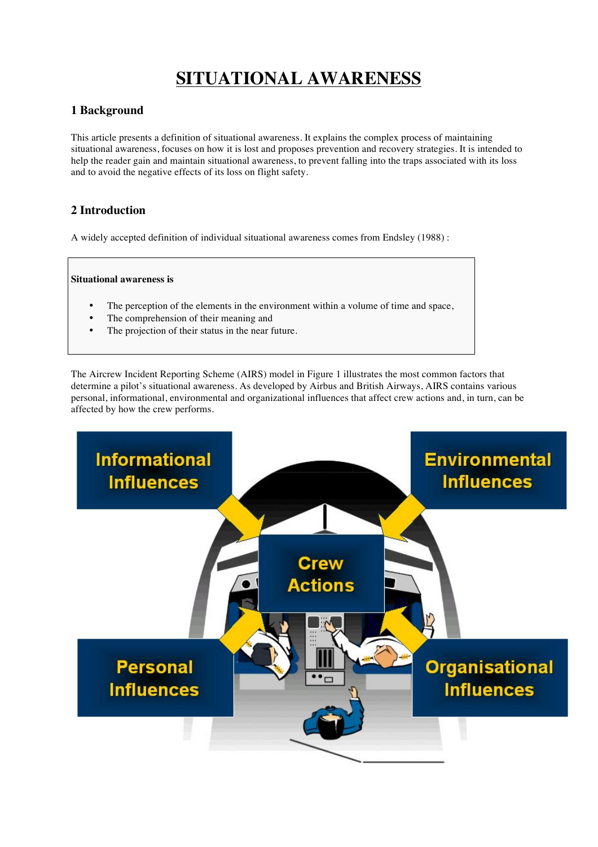# **SITUATIONAL AWARENESS**

# **1 Background**

This article presents a definition of situational awareness. It explains the complex process of maintaining situational awareness, focuses on how it is lost and proposes prevention and recovery strategies. It is intended to help the reader gain and maintain situational awareness, to prevent falling into the traps associated with its loss and to avoid the negative effects of its loss on flight safety.

# **2 Introduction**

A widely accepted definition of individual situational awareness comes from Endsley (1988) :

#### **Situational awareness is**

- The perception of the elements in the environment within a volume of time and space,
- The comprehension of their meaning and
- The projection of their status in the near future.

The Aircrew Incident Reporting Scheme (AIRS) model in Figure 1 illustrates the most common factors that determine a pilot's situational awareness. As developed by Airbus and British Airways, AIRS contains various personal, informational, environmental and organizational influences that affect crew actions and, in turn, can be affected by how the crew performs.

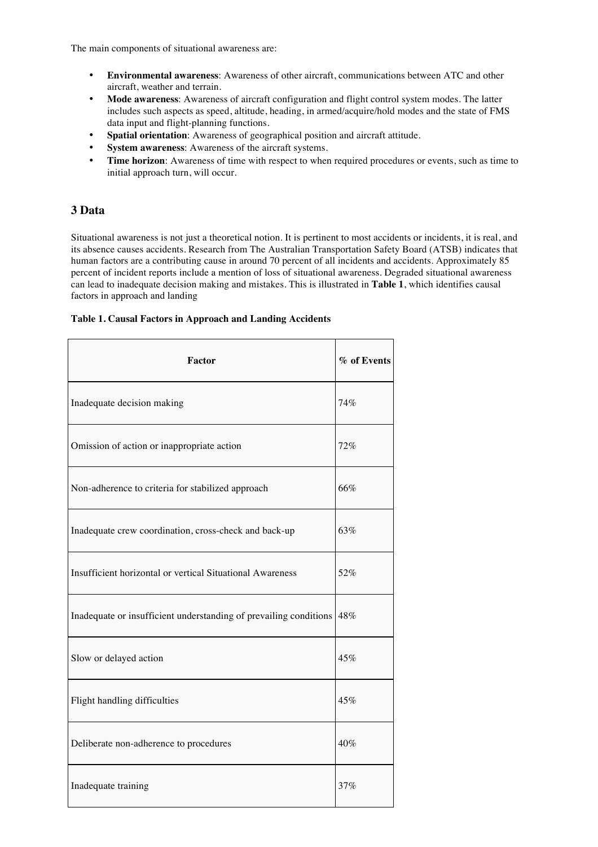The main components of situational awareness are:

- **Environmental awareness**: Awareness of other aircraft, communications between ATC and other aircraft, weather and terrain.
- **Mode awareness**: Awareness of aircraft configuration and flight control system modes. The latter includes such aspects as speed, altitude, heading, in armed/acquire/hold modes and the state of FMS data input and flight-planning functions.
- **Spatial orientation**: Awareness of geographical position and aircraft attitude.
- **System awareness:** Awareness of the aircraft systems.
- **Time horizon**: Awareness of time with respect to when required procedures or events, such as time to initial approach turn, will occur.

### **3 Data**

Situational awareness is not just a theoretical notion. It is pertinent to most accidents or incidents, it is real, and its absence causes accidents. Research from The Australian Transportation Safety Board (ATSB) indicates that human factors are a contributing cause in around 70 percent of all incidents and accidents. Approximately 85 percent of incident reports include a mention of loss of situational awareness. Degraded situational awareness can lead to inadequate decision making and mistakes. This is illustrated in **Table 1**, which identifies causal factors in approach and landing

#### **Table 1. Causal Factors in Approach and Landing Accidents**

| <b>Factor</b>                                                     | % of Events |
|-------------------------------------------------------------------|-------------|
| Inadequate decision making                                        | 74%         |
| Omission of action or inappropriate action                        | 72%         |
| Non-adherence to criteria for stabilized approach                 | 66%         |
| Inadequate crew coordination, cross-check and back-up             | 63%         |
| Insufficient horizontal or vertical Situational Awareness         | 52%         |
| Inadequate or insufficient understanding of prevailing conditions | 48%         |
| Slow or delayed action                                            | 45%         |
| Flight handling difficulties                                      | 45%         |
| Deliberate non-adherence to procedures                            | 40%         |
| Inadequate training                                               | 37%         |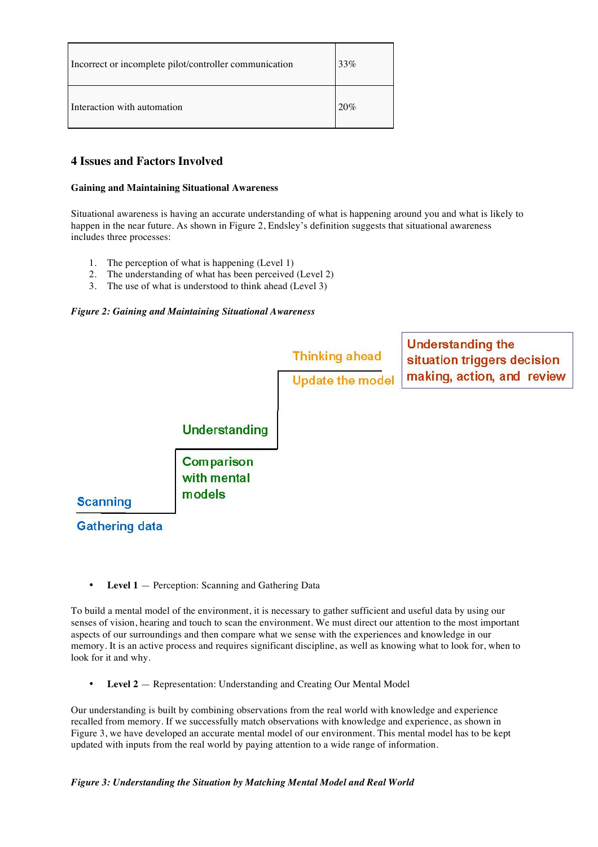| Incorrect or incomplete pilot/controller communication | 33% |
|--------------------------------------------------------|-----|
| Interaction with automation                            | 20% |

# **4 Issues and Factors Involved**

#### **Gaining and Maintaining Situational Awareness**

Situational awareness is having an accurate understanding of what is happening around you and what is likely to happen in the near future. As shown in Figure 2, Endsley's definition suggests that situational awareness includes three processes:

- 1. The perception of what is happening (Level 1)
- 2. The understanding of what has been perceived (Level 2)
- 3. The use of what is understood to think ahead (Level 3)

#### *Figure 2: Gaining and Maintaining Situational Awareness*



• **Level 1** — Perception: Scanning and Gathering Data

To build a mental model of the environment, it is necessary to gather sufficient and useful data by using our senses of vision, hearing and touch to scan the environment. We must direct our attention to the most important aspects of our surroundings and then compare what we sense with the experiences and knowledge in our memory. It is an active process and requires significant discipline, as well as knowing what to look for, when to look for it and why.

• **Level 2** — Representation: Understanding and Creating Our Mental Model

Our understanding is built by combining observations from the real world with knowledge and experience recalled from memory. If we successfully match observations with knowledge and experience, as shown in Figure 3, we have developed an accurate mental model of our environment. This mental model has to be kept updated with inputs from the real world by paying attention to a wide range of information.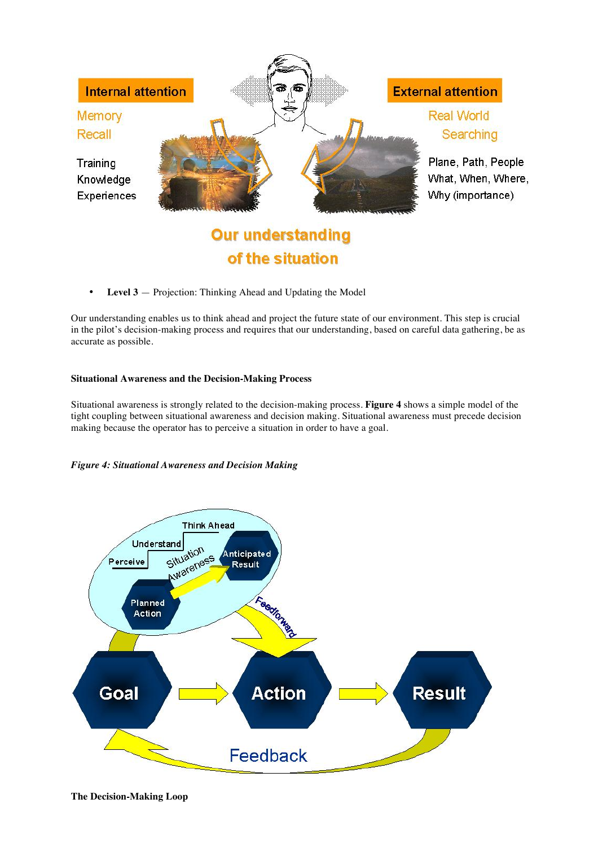

• **Level 3** — Projection: Thinking Ahead and Updating the Model

Our understanding enables us to think ahead and project the future state of our environment. This step is crucial in the pilot's decision-making process and requires that our understanding, based on careful data gathering, be as accurate as possible.

of the situation

#### **Situational Awareness and the Decision-Making Process**

Situational awareness is strongly related to the decision-making process. **Figure 4** shows a simple model of the tight coupling between situational awareness and decision making. Situational awareness must precede decision making because the operator has to perceive a situation in order to have a goal.

#### *Figure 4: Situational Awareness and Decision Making*

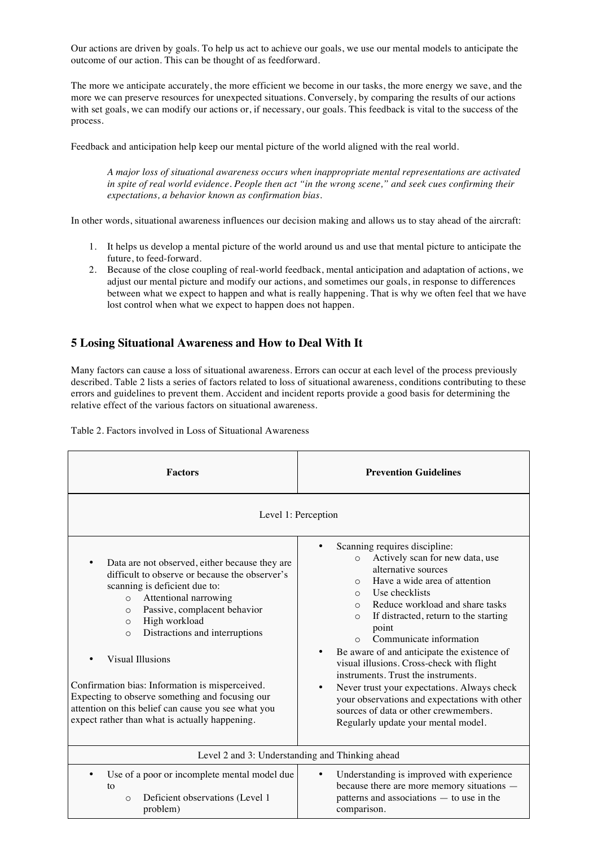Our actions are driven by goals. To help us act to achieve our goals, we use our mental models to anticipate the outcome of our action. This can be thought of as feedforward.

The more we anticipate accurately, the more efficient we become in our tasks, the more energy we save, and the more we can preserve resources for unexpected situations. Conversely, by comparing the results of our actions with set goals, we can modify our actions or, if necessary, our goals. This feedback is vital to the success of the process.

Feedback and anticipation help keep our mental picture of the world aligned with the real world.

*A major loss of situational awareness occurs when inappropriate mental representations are activated in spite of real world evidence. People then act "in the wrong scene," and seek cues confirming their expectations, a behavior known as confirmation bias.*

In other words, situational awareness influences our decision making and allows us to stay ahead of the aircraft:

- 1. It helps us develop a mental picture of the world around us and use that mental picture to anticipate the future, to feed-forward.
- 2. Because of the close coupling of real-world feedback, mental anticipation and adaptation of actions, we adjust our mental picture and modify our actions, and sometimes our goals, in response to differences between what we expect to happen and what is really happening. That is why we often feel that we have lost control when what we expect to happen does not happen.

## **5 Losing Situational Awareness and How to Deal With It**

Many factors can cause a loss of situational awareness. Errors can occur at each level of the process previously described. Table 2 lists a series of factors related to loss of situational awareness, conditions contributing to these errors and guidelines to prevent them. Accident and incident reports provide a good basis for determining the relative effect of the various factors on situational awareness.

|  | Table 2. Factors involved in Loss of Situational Awareness |  |  |  |
|--|------------------------------------------------------------|--|--|--|
|--|------------------------------------------------------------|--|--|--|